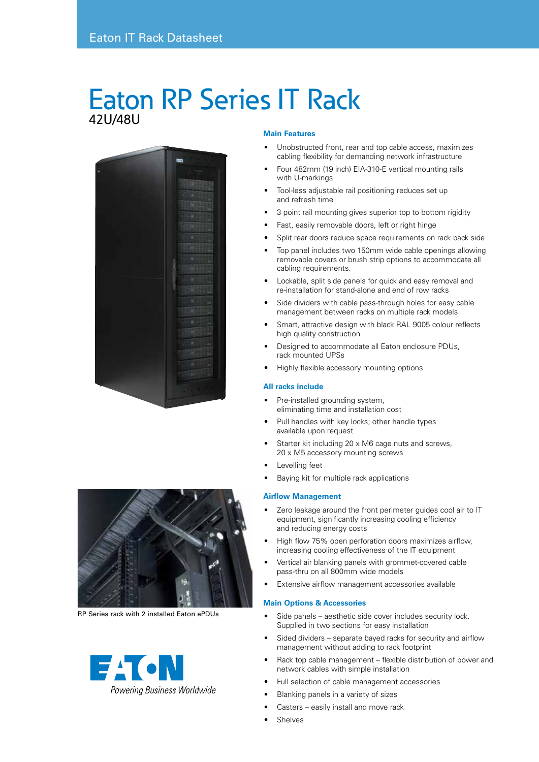# Eaton RP Series IT Rack 42U/48U





RP Series rack with 2 installed Eaton ePDUs



### **Main Features**

- Unobstructed front, rear and top cable access, maximizes cabling flexibility for demanding network infrastructure
- Four 482mm (19 inch) EIA-310-E vertical mounting rails with U-markings
- Tool-less adjustable rail positioning reduces set up and refresh time
- 3 point rail mounting gives superior top to bottom rigidity
- Fast, easily removable doors, left or right hinge
- Split rear doors reduce space requirements on rack back side
- Top panel includes two 150mm wide cable openings allowing removable covers or brush strip options to accommodate all cabling requirements.
- Lockable, split side panels for quick and easy removal and re-installation for stand-alone and end of row racks
- Side dividers with cable pass-through holes for easy cable management between racks on multiple rack models
- Smart, attractive design with black RAL 9005 colour reflects high quality construction
- Designed to accommodate all Eaton enclosure PDUs, rack mounted UPSs
- Highly flexible accessory mounting options

#### **All racks include**

- Pre-installed grounding system, eliminating time and installation cost
- Pull handles with key locks; other handle types available upon request
- Starter kit including 20 x M6 cage nuts and screws, 20 x M5 accessory mounting screws
- Levelling feet
- Baying kit for multiple rack applications

#### **Airflow Management**

- Zero leakage around the front perimeter guides cool air to IT equipment, significantly increasing cooling efficiency and reducing energy costs
- High flow 75% open perforation doors maximizes airflow, increasing cooling effectiveness of the IT equipment
- Vertical air blanking panels with grommet-covered cable pass-thru on all 800mm wide models
- Extensive airflow management accessories available

#### **Main Options & Accessories**

- Side panels aesthetic side cover includes security lock. Supplied in two sections for easy installation
- Sided dividers separate bayed racks for security and airflow management without adding to rack footprint
- Rack top cable management flexible distribution of power and network cables with simple installation
- Full selection of cable management accessories
- Blanking panels in a variety of sizes
- Casters easily install and move rack
- **Shelves**